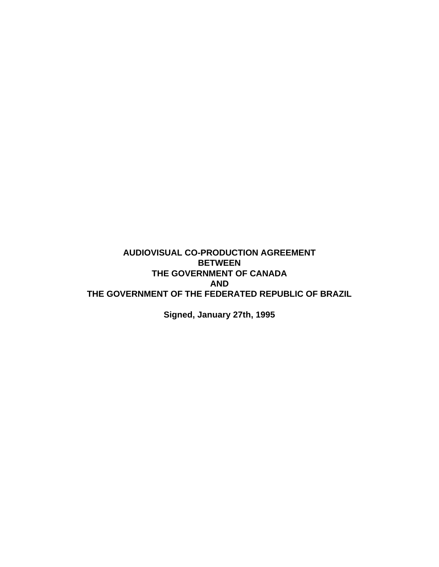# **AUDIOVISUAL CO-PRODUCTION AGREEMENT BETWEEN THE GOVERNMENT OF CANADA AND THE GOVERNMENT OF THE FEDERATED REPUBLIC OF BRAZIL**

**Signed, January 27th, 1995**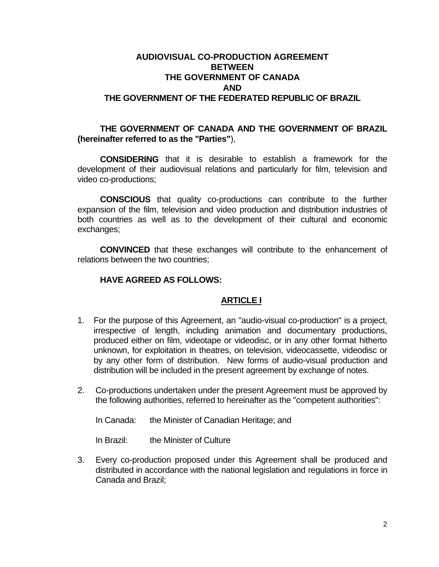# **AUDIOVISUAL CO-PRODUCTION AGREEMENT BETWEEN THE GOVERNMENT OF CANADA AND THE GOVERNMENT OF THE FEDERATED REPUBLIC OF BRAZIL**

### **THE GOVERNMENT OF CANADA AND THE GOVERNMENT OF BRAZIL (hereinafter referred to as the "Parties"**),

**CONSIDERING** that it is desirable to establish a framework for the development of their audiovisual relations and particularly for film, television and video co-productions;

**CONSCIOUS** that quality co-productions can contribute to the further expansion of the film, television and video production and distribution industries of both countries as well as to the development of their cultural and economic exchanges;

**CONVINCED** that these exchanges will contribute to the enhancement of relations between the two countries;

#### **HAVE AGREED AS FOLLOWS:**

#### **ARTICLE I**

- 1. For the purpose of this Agreement, an "audio-visual co-production" is a project, irrespective of length, including animation and documentary productions, produced either on film, videotape or videodisc, or in any other format hitherto unknown, for exploitation in theatres, on television, videocassette, videodisc or by any other form of distribution. New forms of audio-visual production and distribution will be included in the present agreement by exchange of notes.
- 2. Co-productions undertaken under the present Agreement must be approved by the following authorities, referred to hereinafter as the "competent authorities":

In Canada: the Minister of Canadian Heritage; and

In Brazil: the Minister of Culture

3. Every co-production proposed under this Agreement shall be produced and distributed in accordance with the national legislation and regulations in force in Canada and Brazil;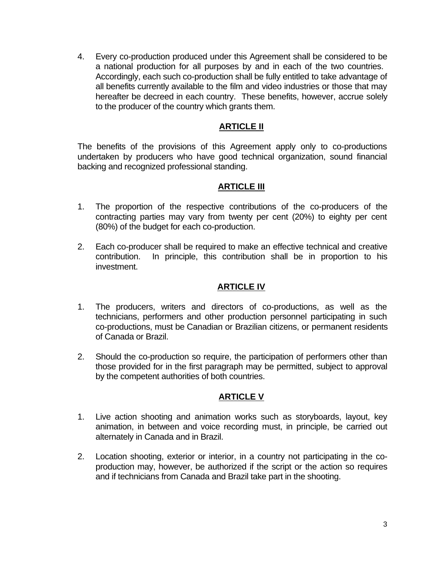4. Every co-production produced under this Agreement shall be considered to be a national production for all purposes by and in each of the two countries. Accordingly, each such co-production shall be fully entitled to take advantage of all benefits currently available to the film and video industries or those that may hereafter be decreed in each country. These benefits, however, accrue solely to the producer of the country which grants them.

### **ARTICLE II**

The benefits of the provisions of this Agreement apply only to co-productions undertaken by producers who have good technical organization, sound financial backing and recognized professional standing.

### **ARTICLE III**

- 1. The proportion of the respective contributions of the co-producers of the contracting parties may vary from twenty per cent (20%) to eighty per cent (80%) of the budget for each co-production.
- 2. Each co-producer shall be required to make an effective technical and creative contribution. In principle, this contribution shall be in proportion to his investment.

# **ARTICLE IV**

- 1. The producers, writers and directors of co-productions, as well as the technicians, performers and other production personnel participating in such co-productions, must be Canadian or Brazilian citizens, or permanent residents of Canada or Brazil.
- 2. Should the co-production so require, the participation of performers other than those provided for in the first paragraph may be permitted, subject to approval by the competent authorities of both countries.

# **ARTICLE V**

- 1. Live action shooting and animation works such as storyboards, layout, key animation, in between and voice recording must, in principle, be carried out alternately in Canada and in Brazil.
- 2. Location shooting, exterior or interior, in a country not participating in the coproduction may, however, be authorized if the script or the action so requires and if technicians from Canada and Brazil take part in the shooting.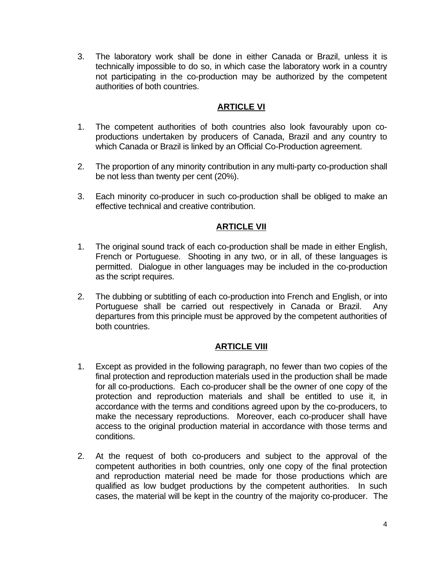3. The laboratory work shall be done in either Canada or Brazil, unless it is technically impossible to do so, in which case the laboratory work in a country not participating in the co-production may be authorized by the competent authorities of both countries.

### **ARTICLE VI**

- 1. The competent authorities of both countries also look favourably upon coproductions undertaken by producers of Canada, Brazil and any country to which Canada or Brazil is linked by an Official Co-Production agreement.
- 2. The proportion of any minority contribution in any multi-party co-production shall be not less than twenty per cent (20%).
- 3. Each minority co-producer in such co-production shall be obliged to make an effective technical and creative contribution.

# **ARTICLE VII**

- 1. The original sound track of each co-production shall be made in either English, French or Portuguese. Shooting in any two, or in all, of these languages is permitted. Dialogue in other languages may be included in the co-production as the script requires.
- 2. The dubbing or subtitling of each co-production into French and English, or into Portuguese shall be carried out respectively in Canada or Brazil. Any departures from this principle must be approved by the competent authorities of both countries.

# **ARTICLE VIII**

- 1. Except as provided in the following paragraph, no fewer than two copies of the final protection and reproduction materials used in the production shall be made for all co-productions. Each co-producer shall be the owner of one copy of the protection and reproduction materials and shall be entitled to use it, in accordance with the terms and conditions agreed upon by the co-producers, to make the necessary reproductions. Moreover, each co-producer shall have access to the original production material in accordance with those terms and conditions.
- 2. At the request of both co-producers and subject to the approval of the competent authorities in both countries, only one copy of the final protection and reproduction material need be made for those productions which are qualified as low budget productions by the competent authorities. In such cases, the material will be kept in the country of the majority co-producer. The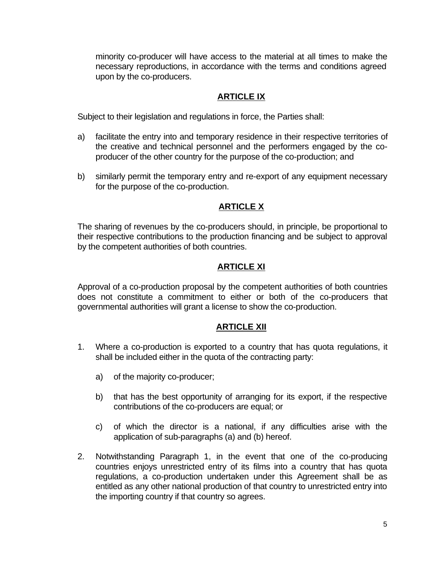minority co-producer will have access to the material at all times to make the necessary reproductions, in accordance with the terms and conditions agreed upon by the co-producers.

#### **ARTICLE IX**

Subject to their legislation and regulations in force, the Parties shall:

- a) facilitate the entry into and temporary residence in their respective territories of the creative and technical personnel and the performers engaged by the coproducer of the other country for the purpose of the co-production; and
- b) similarly permit the temporary entry and re-export of any equipment necessary for the purpose of the co-production.

### **ARTICLE X**

The sharing of revenues by the co-producers should, in principle, be proportional to their respective contributions to the production financing and be subject to approval by the competent authorities of both countries.

# **ARTICLE XI**

Approval of a co-production proposal by the competent authorities of both countries does not constitute a commitment to either or both of the co-producers that governmental authorities will grant a license to show the co-production.

#### **ARTICLE XII**

- 1. Where a co-production is exported to a country that has quota regulations, it shall be included either in the quota of the contracting party:
	- a) of the majority co-producer;
	- b) that has the best opportunity of arranging for its export, if the respective contributions of the co-producers are equal; or
	- c) of which the director is a national, if any difficulties arise with the application of sub-paragraphs (a) and (b) hereof.
- 2. Notwithstanding Paragraph 1, in the event that one of the co-producing countries enjoys unrestricted entry of its films into a country that has quota regulations, a co-production undertaken under this Agreement shall be as entitled as any other national production of that country to unrestricted entry into the importing country if that country so agrees.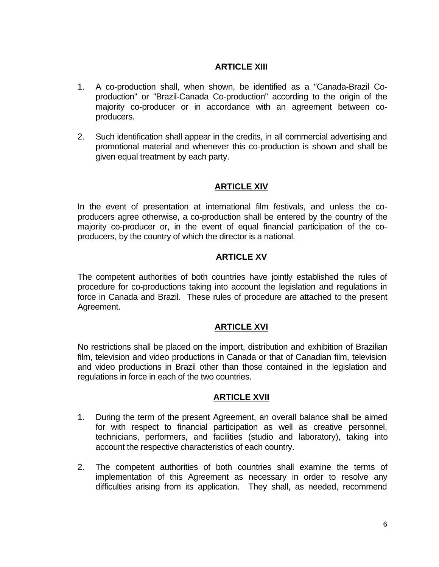# **ARTICLE XIII**

- 1. A co-production shall, when shown, be identified as a "Canada-Brazil Coproduction" or "Brazil-Canada Co-production" according to the origin of the majority co-producer or in accordance with an agreement between coproducers.
- 2. Such identification shall appear in the credits, in all commercial advertising and promotional material and whenever this co-production is shown and shall be given equal treatment by each party.

### **ARTICLE XIV**

In the event of presentation at international film festivals, and unless the coproducers agree otherwise, a co-production shall be entered by the country of the majority co-producer or, in the event of equal financial participation of the coproducers, by the country of which the director is a national.

# **ARTICLE XV**

The competent authorities of both countries have jointly established the rules of procedure for co-productions taking into account the legislation and regulations in force in Canada and Brazil. These rules of procedure are attached to the present Agreement.

#### **ARTICLE XVI**

No restrictions shall be placed on the import, distribution and exhibition of Brazilian film, television and video productions in Canada or that of Canadian film, television and video productions in Brazil other than those contained in the legislation and regulations in force in each of the two countries.

#### **ARTICLE XVII**

- 1. During the term of the present Agreement, an overall balance shall be aimed for with respect to financial participation as well as creative personnel, technicians, performers, and facilities (studio and laboratory), taking into account the respective characteristics of each country.
- 2. The competent authorities of both countries shall examine the terms of implementation of this Agreement as necessary in order to resolve any difficulties arising from its application. They shall, as needed, recommend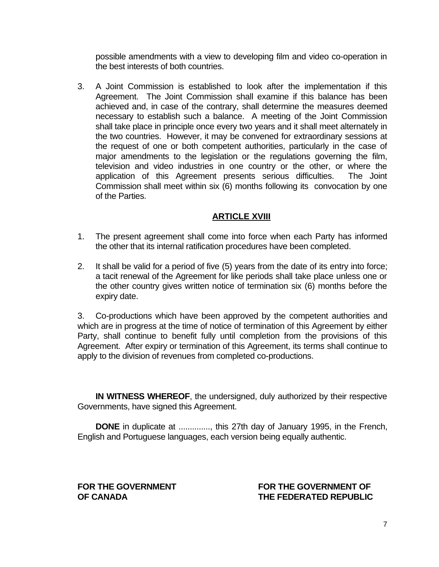possible amendments with a view to developing film and video co-operation in the best interests of both countries.

3. A Joint Commission is established to look after the implementation if this Agreement. The Joint Commission shall examine if this balance has been achieved and, in case of the contrary, shall determine the measures deemed necessary to establish such a balance. A meeting of the Joint Commission shall take place in principle once every two years and it shall meet alternately in the two countries. However, it may be convened for extraordinary sessions at the request of one or both competent authorities, particularly in the case of major amendments to the legislation or the regulations governing the film, television and video industries in one country or the other, or where the application of this Agreement presents serious difficulties. The Joint Commission shall meet within six (6) months following its convocation by one of the Parties.

### **ARTICLE XVIII**

- 1. The present agreement shall come into force when each Party has informed the other that its internal ratification procedures have been completed.
- 2. It shall be valid for a period of five (5) years from the date of its entry into force; a tacit renewal of the Agreement for like periods shall take place unless one or the other country gives written notice of termination six (6) months before the expiry date.

3. Co-productions which have been approved by the competent authorities and which are in progress at the time of notice of termination of this Agreement by either Party, shall continue to benefit fully until completion from the provisions of this Agreement. After expiry or termination of this Agreement, its terms shall continue to apply to the division of revenues from completed co-productions.

**IN WITNESS WHEREOF**, the undersigned, duly authorized by their respective Governments, have signed this Agreement.

**DONE** in duplicate at .............., this 27th day of January 1995, in the French, English and Portuguese languages, each version being equally authentic.

#### FOR THE GOVERNMENT **FOR THE GOVERNMENT OF OF CANADA THE FEDERATED REPUBLIC**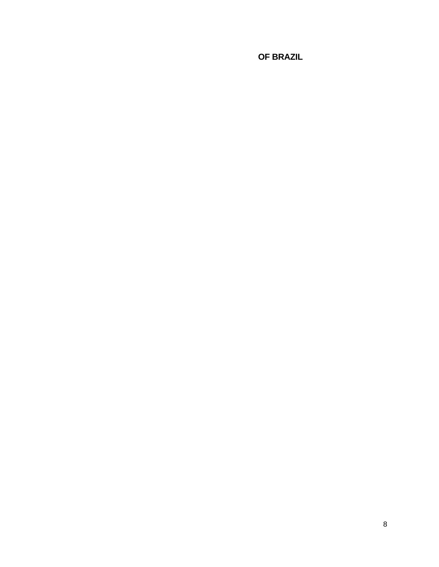**OF BRAZIL**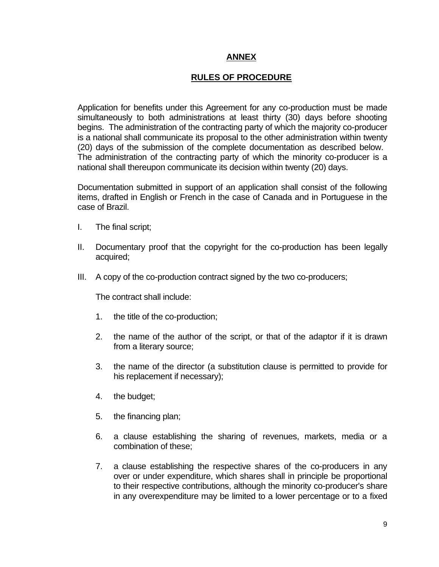### **ANNEX**

### **RULES OF PROCEDURE**

Application for benefits under this Agreement for any co-production must be made simultaneously to both administrations at least thirty (30) days before shooting begins. The administration of the contracting party of which the majority co-producer is a national shall communicate its proposal to the other administration within twenty (20) days of the submission of the complete documentation as described below. The administration of the contracting party of which the minority co-producer is a national shall thereupon communicate its decision within twenty (20) days.

Documentation submitted in support of an application shall consist of the following items, drafted in English or French in the case of Canada and in Portuguese in the case of Brazil.

- I. The final script;
- II. Documentary proof that the copyright for the co-production has been legally acquired;
- III. A copy of the co-production contract signed by the two co-producers;

The contract shall include:

- 1. the title of the co-production;
- 2. the name of the author of the script, or that of the adaptor if it is drawn from a literary source;
- 3. the name of the director (a substitution clause is permitted to provide for his replacement if necessary);
- 4. the budget;
- 5. the financing plan;
- 6. a clause establishing the sharing of revenues, markets, media or a combination of these;
- 7. a clause establishing the respective shares of the co-producers in any over or under expenditure, which shares shall in principle be proportional to their respective contributions, although the minority co-producer's share in any overexpenditure may be limited to a lower percentage or to a fixed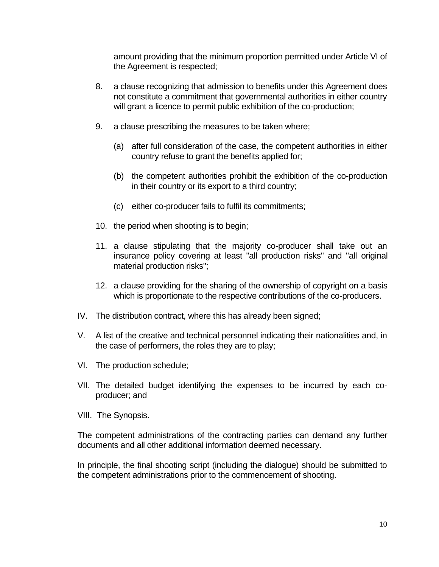amount providing that the minimum proportion permitted under Article VI of the Agreement is respected;

- 8. a clause recognizing that admission to benefits under this Agreement does not constitute a commitment that governmental authorities in either country will grant a licence to permit public exhibition of the co-production;
- 9. a clause prescribing the measures to be taken where;
	- (a) after full consideration of the case, the competent authorities in either country refuse to grant the benefits applied for;
	- (b) the competent authorities prohibit the exhibition of the co-production in their country or its export to a third country;
	- (c) either co-producer fails to fulfil its commitments;
- 10. the period when shooting is to begin;
- 11. a clause stipulating that the majority co-producer shall take out an insurance policy covering at least "all production risks" and "all original material production risks";
- 12. a clause providing for the sharing of the ownership of copyright on a basis which is proportionate to the respective contributions of the co-producers.
- IV. The distribution contract, where this has already been signed;
- V. A list of the creative and technical personnel indicating their nationalities and, in the case of performers, the roles they are to play;
- VI. The production schedule;
- VII. The detailed budget identifying the expenses to be incurred by each coproducer; and
- VIII. The Synopsis.

The competent administrations of the contracting parties can demand any further documents and all other additional information deemed necessary.

In principle, the final shooting script (including the dialogue) should be submitted to the competent administrations prior to the commencement of shooting.